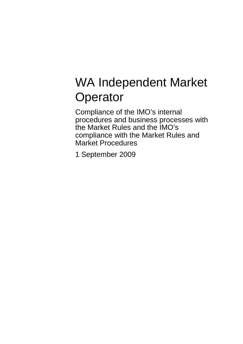# WA Independent Market **Operator**

Compliance of the IMO's internal procedures and business processes with the Market Rules and the IMO's compliance with the Market Rules and Market Procedures

1 September 2009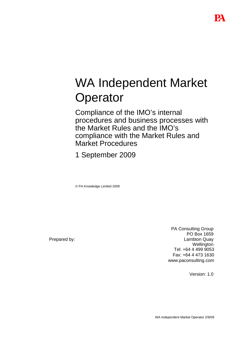# WA Independent Market **Operator**

Compliance of the IMO's internal procedures and business processes with the Market Rules and the IMO's compliance with the Market Rules and Market Procedures

1 September 2009

© PA Knowledge Limited 2009

Prepared by:

PA Consulting Group PO Box 1659 Lambton Quay **Wellington** Tel: +64 4 499 9053 Fax: +64 4 473 1630 www.paconsulting.com

Version: 1.0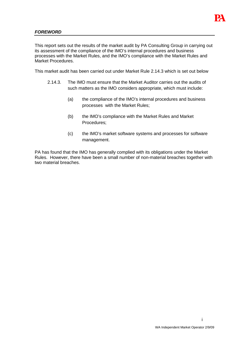

# **FOREWORD**

This report sets out the results of the market audit by PA Consulting Group in carrying out its assessment of the compliance of the IMO's internal procedures and business processes with the Market Rules, and the IMO's compliance with the Market Rules and Market Procedures.

This market audit has been carried out under Market Rule 2.14.3 which is set out below

- 2.14.3. The IMO must ensure that the Market Auditor carries out the audits of such matters as the IMO considers appropriate, which must include:
	- (a) the compliance of the IMO's internal procedures and business processes with the Market Rules;
	- (b) the IMO's compliance with the Market Rules and Market Procedures;
	- (c) the IMO's market software systems and processes for software management.

PA has found that the IMO has generally complied with its obligations under the Market Rules. However, there have been a small number of non-material breaches together with two material breaches.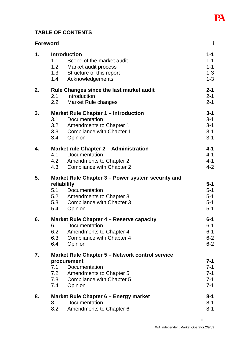

# **TABLE OF CONTENTS**

|    | Foreword                                          |                                                 |         |
|----|---------------------------------------------------|-------------------------------------------------|---------|
| 1. |                                                   | <b>Introduction</b>                             | $1 - 1$ |
|    | 1.1                                               | Scope of the market audit                       | $1 - 1$ |
|    | 1.2                                               | Market audit process                            | $1 - 1$ |
|    | 1.3                                               | Structure of this report                        | $1 - 3$ |
|    | 1.4                                               | Acknowledgements                                | $1 - 3$ |
| 2. |                                                   | <b>Rule Changes since the last market audit</b> | $2 - 1$ |
|    | 2.1                                               | Introduction                                    | $2 - 1$ |
|    |                                                   | 2.2 Market Rule changes                         | $2 - 1$ |
| 3. |                                                   | <b>Market Rule Chapter 1 - Introduction</b>     | $3 - 1$ |
|    | 3.1                                               | Documentation                                   | $3 - 1$ |
|    |                                                   | 3.2 Amendments to Chapter 1                     | $3 - 1$ |
|    | 3.3                                               | Compliance with Chapter 1                       | $3 - 1$ |
|    | 3.4                                               | Opinion                                         | $3 - 1$ |
| 4. | Market rule Chapter 2 - Administration            |                                                 | $4 - 1$ |
|    | 4.1                                               | Documentation                                   | $4 - 1$ |
|    |                                                   | 4.2 Amendments to Chapter 2                     | $4 - 1$ |
|    | 4.3                                               | Compliance with Chapter 2                       | $4 - 2$ |
| 5. | Market Rule Chapter 3 – Power system security and |                                                 |         |
|    |                                                   | reliability                                     | $5-1$   |
|    |                                                   | 5.1 Documentation                               | $5-1$   |
|    |                                                   | 5.2 Amendments to Chapter 3                     | $5-1$   |
|    | 5.3                                               | Compliance with Chapter 3                       | $5-1$   |
|    | 5.4                                               | Opinion                                         | $5 - 1$ |
| 6. |                                                   | Market Rule Chapter 4 – Reserve capacity        | $6 - 1$ |
|    | 6.1                                               | Documentation                                   | $6 - 1$ |
|    | 6.2                                               | Amendments to Chapter 4                         | $6-1$   |
|    | 6.3                                               | Compliance with Chapter 4                       | $6 - 2$ |
|    | 6.4                                               | Opinion                                         | $6 - 2$ |
| 7. | Market Rule Chapter 5 - Network control service   |                                                 |         |
|    |                                                   | procurement                                     | $7 - 1$ |
|    | 7.1                                               | Documentation                                   | $7-1$   |
|    | 7.2                                               | <b>Amendments to Chapter 5</b>                  | $7 - 1$ |
|    | 7.3                                               | Compliance with Chapter 5                       | $7 - 1$ |
|    | 7.4                                               | Opinion                                         | $7 - 1$ |
| 8. |                                                   | Market Rule Chapter 6 - Energy market           | 8-1     |
|    | 8.1                                               | Documentation                                   | $8 - 1$ |
|    | 8.2                                               | Amendments to Chapter 6                         | $8 - 1$ |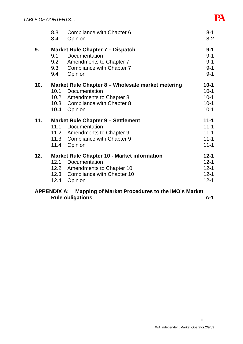|     | 8.3<br>8.4                                         | Compliance with Chapter 6<br>Opinion | $8 - 1$<br>$8 - 2$ |
|-----|----------------------------------------------------|--------------------------------------|--------------------|
| 9.  | Market Rule Chapter 7 – Dispatch                   |                                      |                    |
|     | 9.1                                                | Documentation                        | $9 - 1$            |
|     | 9.2                                                | Amendments to Chapter 7              | $9 - 1$            |
|     | 9.3                                                | Compliance with Chapter 7            | $9 - 1$            |
|     | 9.4                                                | Opinion                              | $9 - 1$            |
| 10. | Market Rule Chapter 8 – Wholesale market metering  |                                      | $10 - 1$           |
|     | 10.1                                               | Documentation                        | $10-1$             |
|     |                                                    | 10.2 Amendments to Chapter 8         | $10-1$             |
|     | 10.3                                               | Compliance with Chapter 8            | $10-1$             |
|     | 10.4                                               | Opinion                              | $10-1$             |
| 11. | <b>Market Rule Chapter 9 - Settlement</b>          |                                      | $11 - 1$           |
|     | 11.1                                               | Documentation                        | $11 - 1$           |
|     |                                                    | 11.2 Amendments to Chapter 9         | $11 - 1$           |
|     |                                                    | 11.3 Compliance with Chapter 9       | $11 - 1$           |
|     | 11.4                                               | Opinion                              | $11 - 1$           |
| 12. | <b>Market Rule Chapter 10 - Market information</b> |                                      |                    |
|     | 12.1                                               | Documentation                        | $12 - 1$           |
|     |                                                    | 12.2 Amendments to Chapter 10        | $12 - 1$           |
|     | 12.3                                               | Compliance with Chapter 10           | $12 - 1$           |
|     | 12.4                                               | Opinion                              | $12 - 1$           |
|     |                                                    |                                      |                    |

# **APPENDIX A: Mapping of Market Procedures to the IMO's Market**  Rule obligations **A-1**

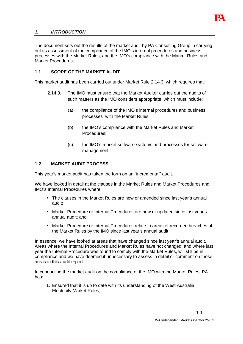

# **1. INTRODUCTION**

The document sets out the results of the market audit by PA Consulting Group in carrying out its assessment of the compliance of the IMO's internal procedures and business processes with the Market Rules, and the IMO's compliance with the Market Rules and Market Procedures.

# **1.1 SCOPE OF THE MARKET AUDIT**

This market audit has been carried out under Market Rule 2.14.3. which requires that:

- 2.14.3. The IMO must ensure that the Market Auditor carries out the audits of such matters as the IMO considers appropriate, which must include:
	- (a) the compliance of the IMO's internal procedures and business processes with the Market Rules;
	- (b) the IMO's compliance with the Market Rules and Market Procedures;
	- (c) the IMO's market software systems and processes for software management.

#### **1.2 MARKET AUDIT PROCESS**

This year's market audit has taken the form on an "incremental" audit.

We have looked in detail at the clauses in the Market Rules and Market Procedures and IMO's Internal Procedures where:

- The clauses in the Market Rules are new or amended since last year's annual audit;
- Market Procedure or Internal Procedures are new or updated since last year's annual audit; and
- Market Procedure or Internal Procedures relate to areas of recorded breaches of the Market Rules by the IMO since last year's annual audit.

In essence, we have looked at areas that have changed since last year's annual audit. Areas where the Internal Procedures and Market Rules have not changed, and where last year the Internal Procedure was found to comply with the Market Rules, will still be in compliance and we have deemed it unnecessary to assess in detail or comment on those areas in this audit report.

In conducting the market audit on the compliance of the IMO with the Market Rules, PA has:

1. Ensured that it is up to date with its understanding of the West Australia Electricity Market Rules;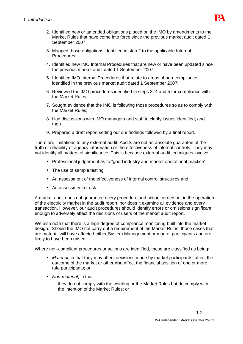

- 2. Identified new or amended obligations placed on the IMO by amendments to the Market Rules that have come into force since the previous market audit dated 1 September 2007;
- 3. Mapped those obligations identified in step 2 to the applicable Internal Procedures;
- 4. Identified new IMO Internal Procedures that are new or have been updated since the previous market audit dated 1 September 2007;
- 5. Identified IMO Internal Procedures that relate to areas of non-compliance identified in the previous market audit dated 1 September 2007;
- 6. Reviewed the IMO procedures identified in steps 3, 4 and 5 for compliance with the Market Rules;
- 7. Sought evidence that the IMO is following those procedures so as to comply with the Market Rules;
- 8. Had discussions with IMO managers and staff to clarify issues identified; and then
- 9. Prepared a draft report setting out our findings followed by a final report.

There are limitations to any external audit. Audits are not an absolute guarantee of the truth or reliability of agency information or the effectiveness of internal controls. They may not identify all matters of significance. This is because external audit techniques involve:

- Professional judgement as to "good industry and market operational practice"
- The use of sample testing
- An assessment of the effectiveness of internal control structures and
- An assessment of risk.

A market audit does not guarantee every procedure and action carried out in the operation of the electricity market in the audit report, nor does it examine all evidence and every transaction. However, our audit procedures should identify errors or omissions significant enough to adversely affect the decisions of users of the market audit report.

We also note that there is a high degree of compliance monitoring built into the market design. Should the IMO not carry out a requirement of the Market Rules, those cases that are material will have affected either System Management or market participants and are likely to have been raised.

Where non-compliant procedures or actions are identified, these are classified as being:

- Material, in that they may affect decisions made by market participants, affect the outcome of the market or otherwise affect the financial position of one or more rule participants; or
- Non-material, in that
	- − they do not comply with the wording or the Market Rules but do comply with the intention of the Market Rules; or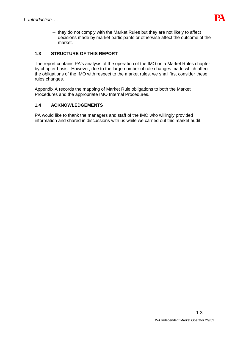

− they do not comply with the Market Rules but they are not likely to affect decisions made by market participants or otherwise affect the outcome of the market.

# **1.3 STRUCTURE OF THIS REPORT**

The report contains PA's analysis of the operation of the IMO on a Market Rules chapter by chapter basis. However, due to the large number of rule changes made which affect the obligations of the IMO with respect to the market rules, we shall first consider these rules changes.

Appendix A records the mapping of Market Rule obligations to both the Market Procedures and the appropriate IMO Internal Procedures.

# **1.4 ACKNOWLEDGEMENTS**

PA would like to thank the managers and staff of the IMO who willingly provided information and shared in discussions with us while we carried out this market audit.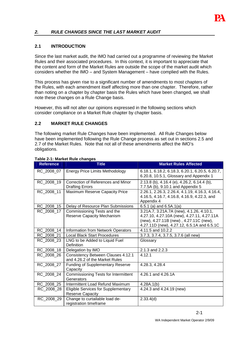

# **2. RULE CHANGES SINCE THE LAST MARKET AUDIT**

#### **2.1 INTRODUCTION**

Since the last market audit, the IMO had carried out a programme of reviewing the Market Rules and their associated procedures. In this context, it is important to appreciate that the content and form of the Market Rules are outside the scope of the market audit which considers whether the IMO – and System Management – have complied with the Rules.

This process has given rise to a significant number of amendments to most chapters of the Rules, with each amendment itself affecting more than one chapter. Therefore, rather than noting on a chapter by chapter basis the Rules which have been changed, we shall note these changes on a Rule Change basis.

However, this will not alter our opinions expressed in the following sections which consider compliance on a Market Rule chapter by chapter basis.

# **2.2 MARKET RULE CHANGES**

The following market Rule Changes have been implemented. All Rule Changes below have been implemented following the Rule Change process as set out in sections 2.5 and 2.7 of the Market Rules. Note that not all of these amendments affect the IMO's obligations.

| <b>Reference</b> | <b>Title</b>                                                                | <b>Market Rules Affected</b>                                                                                                                                                   |
|------------------|-----------------------------------------------------------------------------|--------------------------------------------------------------------------------------------------------------------------------------------------------------------------------|
| RC_2008_07       | <b>Energy Price Limits Methodology</b>                                      | 6.18.1, 6.18.2, 6.18.3, 6.20.1, 6.20.5, 6.20.7,<br>6.20.8, 10.5.1, Glossary and Appendix 1                                                                                     |
| RC 2008 19       | Correction of References and Minor<br><b>Drafting Errors</b>                | 2.13.8 (b), 4.16.4 (e), 4.26.2, 6.14.4 (b),<br>7.7.5A (b), 9.10.1 and Appendix 5                                                                                               |
| RC 2008 11       | Maximum Reserve Capacity Price                                              | 2.26.1, 2.26.3, 2.26.4, 4.1.19, 4.16.3, 4.16.4,<br>4.16.5, 4.16.7, 4.16.8, 4.16.9, 4.22.3, and<br>Appendix 4                                                                   |
| RC_2008_15       | Delay of Resource Plan Submissions                                          | 6.5.1 (a) and $6.5A.1(a)$                                                                                                                                                      |
| RC_2008_17       | Commissioning Tests and the<br>Reserve Capacity Mechanism                   | 3.21A.7, 3.21A.7A (new), 4.1.26, 4.10.1,<br>4.27.10, 4.27.10A (new), 4.27.11, 4.27.11A<br>(new), 4.27.11B (new), 4.27.11C (new),<br>4.27.11D (new), 4.27.12, 6.5.1A and 6.5.1C |
| RC_2008_14       | Information from Network Operators                                          | 4.11.5 and 10.2.2                                                                                                                                                              |
| RC 2008 21       | <b>Local Black Start Procedures</b>                                         | 3.7.3, 3.7.4, 3.7.5, 3.7.6 (all new)                                                                                                                                           |
| RC 2008 23       | LNG to be Added to Liquid Fuel<br>Definition                                | Glossary                                                                                                                                                                       |
| RC_2008_18       | Delegation by IMO                                                           | 2.1.3 and 2.2.3                                                                                                                                                                |
| RC 2008 26       | <b>Consistency Between Clauses 4.12.1</b><br>and 4.26.2 of the Market Rules | 4.12.1                                                                                                                                                                         |
| RC 2008 27       | <b>Funding of Supplementary Reserve</b><br>Capacity                         | 4.28.3, 4.28.4                                                                                                                                                                 |
| RC_2008_24       | Commissioning Tests for Intermittent<br>Generators                          | 4.26.1 and 4.26.1A                                                                                                                                                             |
| RC_2008_25       | Intermittent Load Refund Maximum                                            | 4.28A.1(b)                                                                                                                                                                     |
| RC 2008 28       | Eligible Services for Supplementary<br><b>Reserve Capacity</b>              | 4.24.3 and 4.24.19 (new)                                                                                                                                                       |
| RC_2008_29       | Change to curtailable load de-<br>registration timeframe                    | 2.33.4(d)                                                                                                                                                                      |

# **Table 2-1: Market Rule changes**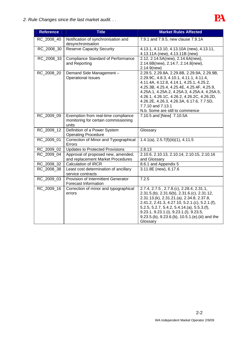

| <b>Reference</b> | <b>Title</b>                                                                         | <b>Market Rules Affected</b>                                                                                                                                                                                                                                                                                                                                                        |  |
|------------------|--------------------------------------------------------------------------------------|-------------------------------------------------------------------------------------------------------------------------------------------------------------------------------------------------------------------------------------------------------------------------------------------------------------------------------------------------------------------------------------|--|
| RC 2008 40       | Notification of synchronisation and<br>desynchronisation                             | 7.9.1 and 7.9.5, new clause 7.9.1A                                                                                                                                                                                                                                                                                                                                                  |  |
| RC 2008 30       | <b>Reserve Capacity Security</b>                                                     | 4.13.1, 4.13.10, 4.13.10A (new), 4.13.11,<br>4.13.11A (new), 4.13.11B (new)                                                                                                                                                                                                                                                                                                         |  |
| RC 2008 33       | <b>Compliance Standard of Performance</b><br>and Reporting                           | 2.12, 2.14.5A(new), 2.14.6A(new),<br>2.14.6B(new), 2.14.7, 2.14.8(new),<br>$2.14.9$ (new)                                                                                                                                                                                                                                                                                           |  |
| RC 2008 20       | Demand Side Management-<br><b>Operational Issues</b>                                 | 2.29.5, 2.29.8A, 2.29.8B, 2.29.9A, 2.29.9B,<br>2.29.9C, 4.8.3, 4.10.1, 4.11.1, 4.11.4,<br>4.11.4A, 4.12.8, 4.14.1, 4.25.1, 4.25.2,<br>4.25.3B, 4.25.4, 4.25.4E, 4.25.4F, 4.25.9,<br>4.25A.1, 4.25A.2, 4.25A.3, 4.25A.4, 4.25A.5,<br>4.26.1, 4.26.1C, 4.26.2, 4.26.2C, 4.26.2D,<br>4.26.2E, 4.26.3, 4.26.3A, 6.17.6, 7.7.5D,<br>7.7.10 and 7.13.1<br>N.b. Some are still to commence |  |
| RC 2009 09       | Exemption from real-time compliance<br>monitoring for certain commissioning<br>units | 7.10.5 and [New] 7.10.5A                                                                                                                                                                                                                                                                                                                                                            |  |
| RC 2009 12       | Definition of a Power System<br><b>Operating Procedure</b>                           | Glossary                                                                                                                                                                                                                                                                                                                                                                            |  |
| RC_2009_01       | Correction of Minor and Typographical<br>Errors                                      | 1.4.1(a), 2.5.7(f)(iii)(1), 4.11.5                                                                                                                                                                                                                                                                                                                                                  |  |
| RC_2009_02       | <b>Updates to Protected Provisions</b>                                               | 2.8.13                                                                                                                                                                                                                                                                                                                                                                              |  |
| RC 2009 04       | Approval of proposed new, amended,<br>and replacement Market Procedures              | 2.10.6, 2.10.13, 2.10.14, 2.10.15, 2.10.16<br>and Glossary                                                                                                                                                                                                                                                                                                                          |  |
| RC_2008_32       | <b>Calculation of IRCR</b>                                                           | 8.6.1 and Appendix 5                                                                                                                                                                                                                                                                                                                                                                |  |
| RC 2008 38       | Least cost determination of ancillary<br>service contracts                           | 3.11.8E (new), 6.17.6                                                                                                                                                                                                                                                                                                                                                               |  |
| RC 2009 03       | Provision of Intermittent Generator<br><b>Forecast Information</b>                   | 7.2.5                                                                                                                                                                                                                                                                                                                                                                               |  |
| RC_2009_16       | Correction of minor and typographical<br>errors                                      | 2.7.4, 2.7.5, 2.7.8.(c), 2.28.4, 2.31.1,<br>2.31.5.(b), 2.31.6(b), 2.31.6.(c), 2.31.12,<br>2.31.13.(k), 2.31.21.(a), 2.34.8, 2.37.8,<br>2.41.2, 2.41.3, 4.27.10, 5.2.1.(c), 5.2.1.(f),<br>$5.2.5, 5.2.7, 5.4.2, 5.4.14.(a), 5.5.3.(f),$<br>9.23.1, 9.23.1.(i), 9.23.1.(l), 9.23.5,<br>9.23.5.(b), 9.23.6.(b), 10.5.1.(e).(iii) and the<br>Glossary                                  |  |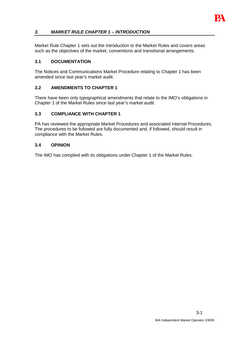

# **3. MARKET RULE CHAPTER 1 – INTRODUCTION**

Market Rule Chapter 1 sets out the Introduction to the Market Rules and covers areas such as the objectives of the market, conventions and transitional arrangements.

#### **3.1 DOCUMENTATION**

The Notices and Communications Market Procedure relating to Chapter 1 has been amended since last year's market audit.

#### **3.2 AMENDMENTS TO CHAPTER 1**

There have been only typographical amendments that relate to the IMO's obligations in Chapter 1 of the Market Rules since last year's market audit.

#### **3.3 COMPLIANCE WITH CHAPTER 1**

PA has reviewed the appropriate Market Procedures and associated Internal Procedures. The procedures to be followed are fully documented and, if followed, should result in compliance with the Market Rules.

#### **3.4 OPINION**

The IMO has complied with its obligations under Chapter 1 of the Market Rules.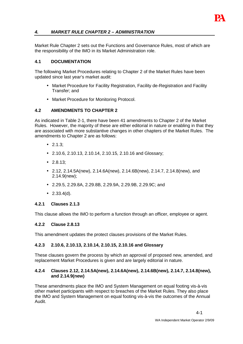

# **4. MARKET RULE CHAPTER 2 – ADMINISTRATION**

Market Rule Chapter 2 sets out the Functions and Governance Rules, most of which are the responsibility of the IMO in its Market Administration role.

# **4.1 DOCUMENTATION**

The following Market Procedures relating to Chapter 2 of the Market Rules have been updated since last year's market audit:

- Market Procedure for Facility Registration, Facility de-Registration and Facility Transfer; and
- Market Procedure for Monitoring Protocol.

#### **4.2 AMENDMENTS TO CHAPTER 2**

As indicated in Table 2-1, there have been 41 amendments to Chapter 2 of the Market Rules. However, the majority of these are either editorial in nature or enabling in that they are associated with more substantive changes in other chapters of the Market Rules. The amendments to Chapter 2 are as follows:

- 2.1.3;
- 2.10.6, 2.10.13, 2.10.14, 2.10.15, 2.10.16 and Glossary;
- 2.8.13;
- 2.12, 2.14.5A(new), 2.14.6A(new), 2.14.6B(new), 2.14.7, 2.14.8(new), and 2.14.9(new);
- 2.29.5, 2.29.8A, 2.29.8B, 2.29.9A, 2.29.9B, 2.29.9C; and
- 2.33.4(d).

#### **4.2.1 Clauses 2.1.3**

This clause allows the IMO to perform a function through an officer, employee or agent.

#### **4.2.2 Clause 2.8.13**

This amendment updates the protect clauses provisions of the Market Rules.

#### **4.2.3 2.10.6, 2.10.13, 2.10.14, 2.10.15, 2.10.16 and Glossary**

These clauses govern the process by which an approval of proposed new, amended, and replacement Market Procedures is given and are largely editorial in nature.

#### **4.2.4 Clauses 2.12, 2.14.5A(new), 2.14.6A(new), 2.14.6B(new), 2.14.7, 2.14.8(new), and 2.14.9(new)**

These amendments place the IMO and System Management on equal footing vis-à-vis other market participants with respect to breaches of the Market Rules. They also place the IMO and System Management on equal footing vis-à-vis the outcomes of the Annual Audit.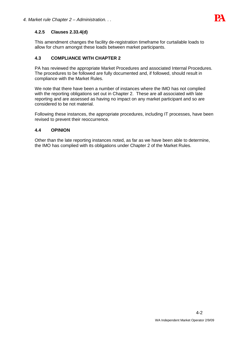

# **4.2.5 Clauses 2.33.4(d)**

This amendment changes the facility de-registration timeframe for curtailable loads to allow for churn amongst these loads between market participants.

# **4.3 COMPLIANCE WITH CHAPTER 2**

PA has reviewed the appropriate Market Procedures and associated Internal Procedures. The procedures to be followed are fully documented and, if followed, should result in compliance with the Market Rules.

We note that there have been a number of instances where the IMO has not complied with the reporting obligations set out in Chapter 2. These are all associated with late reporting and are assessed as having no impact on any market participant and so are considered to be not material.

Following these instances, the appropriate procedures, including IT processes, have been revised to prevent their reoccurrence.

# **4.4 OPINION**

Other than the late reporting instances noted, as far as we have been able to determine, the IMO has complied with its obligations under Chapter 2 of the Market Rules.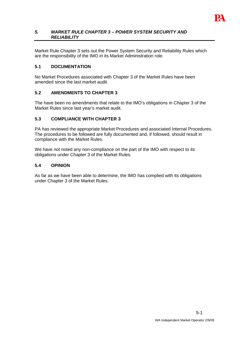

#### **5. MARKET RULE CHAPTER 3 – POWER SYSTEM SECURITY AND RELIABILITY**

Market Rule Chapter 3 sets out the Power System Security and Reliability Rules which are the responsibility of the IMO in its Market Administration role.

# **5.1 DOCUMENTATION**

No Market Procedures associated with Chapter 3 of the Market Rules have been amended since the last market audit.

# **5.2 AMENDMENTS TO CHAPTER 3**

The have been no amendments that relate to the IMO's obligations in Chapter 3 of the Market Rules since last year's market audit.

# **5.3 COMPLIANCE WITH CHAPTER 3**

PA has reviewed the appropriate Market Procedures and associated Internal Procedures. The procedures to be followed are fully documented and, if followed, should result in compliance with the Market Rules.

We have not noted any non-compliance on the part of the IMO with respect to its obligations under Chapter 3 of the Market Rules.

#### **5.4 OPINION**

As far as we have been able to determine, the IMO has complied with its obligations under Chapter 3 of the Market Rules.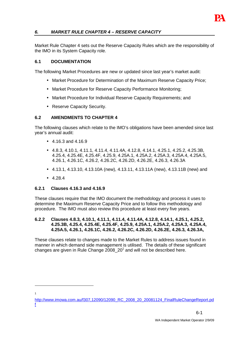

# **6. MARKET RULE CHAPTER 4 – RESERVE CAPACITY**

Market Rule Chapter 4 sets out the Reserve Capacity Rules which are the responsibility of the IMO in its System Capacity role.

# **6.1 DOCUMENTATION**

The following Market Procedures are new or updated since last year's market audit:

- Market Procedure for Determination of the Maximum Reserve Capacity Price;
- Market Procedure for Reserve Capacity Performance Monitoring;
- Market Procedure for Individual Reserve Capacity Requirements; and
- Reserve Capacity Security.

# **6.2 AMENDMENTS TO CHAPTER 4**

The following clauses which relate to the IMO's obligations have been amended since last year's annual audit:

- 4.16.3 and 4.16.9
- 4.8.3, 4.10.1, 4.11.1, 4.11.4, 4.11.4A, 4.12.8, 4.14.1, 4.25.1, 4.25.2, 4.25.3B, 4.25.4, 4.25.4E, 4.25.4F, 4.25.9, 4.25A.1, 4.25A.2, 4.25A.3, 4.25A.4, 4.25A.5, 4.26.1, 4.26.1C, 4.26.2, 4.26.2C, 4.26.2D, 4.26.2E, 4.26.3, 4.26.3A
- 4.13.1, 4.13.10, 4.13.10A (new), 4.13.11, 4.13.11A (new), 4.13.11B (new) and
- $4.284$

1

#### **6.2.1 Clauses 4.16.3 and 4.16.9**

These clauses require that the IMO document the methodology and process it uses to determine the Maximum Reserve Capacity Price and to follow this methodology and procedure. The IMO must also review this procedure at least every five years.

#### **6.2.2 Clauses 4.8.3, 4.10.1, 4.11.1, 4.11.4, 4.11.4A, 4.12.8, 4.14.1, 4.25.1, 4.25.2, 4.25.3B, 4.25.4, 4.25.4E, 4.25.4F, 4.25.9, 4.25A.1, 4.25A.2, 4.25A.3, 4.25A.4, 4.25A.5, 4.26.1, 4.26.1C, 4.26.2, 4.26.2C, 4.26.2D, 4.26.2E, 4.26.3, 4.26.3A,**

These clauses relate to changes made to the Market Rules to address issues found in manner in which demand side management is utilised. The details of these significant changes are given in Rule Change  $2008\_20<sup>1</sup>$  and will not be described here.

http://www.imowa.com.au/f307,12090/12090\_RC\_2008\_20\_20081124\_FinalRuleChangeReport.pd f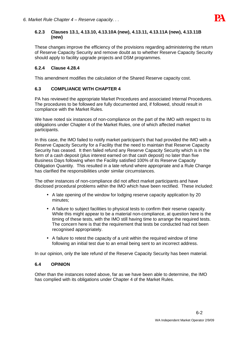

#### **6.2.3 Clauses 13.1, 4.13.10, 4.13.10A (new), 4.13.11, 4.13.11A (new), 4.13.11B (new)**

These changes improve the efficiency of the provisions regarding administering the return of Reserve Capacity Security and remove doubt as to whether Reserve Capacity Security should apply to facility upgrade projects and DSM programmes.

# **6.2.4 Clause 4.28.4**

This amendment modifies the calculation of the Shared Reserve capacity cost.

# **6.3 COMPLIANCE WITH CHAPTER 4**

PA has reviewed the appropriate Market Procedures and associated Internal Procedures. The procedures to be followed are fully documented and, if followed, should result in compliance with the Market Rules.

We have noted six instances of non-compliance on the part of the IMO with respect to its obligations under Chapter 4 of the Market Rules, one of which affected market participants.

In this case, the IMO failed to notify market participant's that had provided the IMO with a Reserve Capacity Security for a Facility that the need to maintain that Reserve Capacity Security has ceased. It then failed refund any Reserve Capacity Security which is in the form of a cash deposit (plus interest earned on that cash deposit) no later than five Business Days following when the Facility satisfied 100% of its Reserve Capacity Obligation Quantity. This resulted in a late refund where appropriate and a Rule Change has clarified the responsibilities under similar circumstances.

The other instances of non-compliance did not affect market participants and have disclosed procedural problems within the IMO which have been rectified. These included:

- A late opening of the window for lodging reserve capacity application by 20 minutes;
- A failure to subject facilities to physical tests to confirm their reserve capacity. While this might appear to be a material non-compliance, at question here is the timing of these tests, with the IMO still having time to arrange the required tests. The concern here is that the requirement that tests be conducted had not been recognised appropriately.
- A failure to retest the capacity of a unit within the required window of time following an initial test due to an email being sent to an incorrect address.

In our opinion, only the late refund of the Reserve Capacity Security has been material.

# **6.4 OPINION**

Other than the instances noted above, far as we have been able to determine, the IMO has complied with its obligations under Chapter 4 of the Market Rules.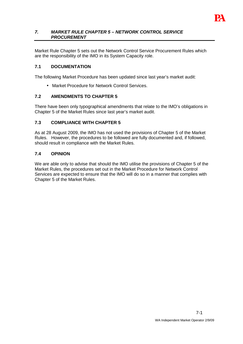

#### **7. MARKET RULE CHAPTER 5 – NETWORK CONTROL SERVICE PROCUREMENT**

Market Rule Chapter 5 sets out the Network Control Service Procurement Rules which are the responsibility of the IMO in its System Capacity role.

# **7.1 DOCUMENTATION**

The following Market Procedure has been updated since last year's market audit:

• Market Procedure for Network Control Services.

#### **7.2 AMENDMENTS TO CHAPTER 5**

There have been only typographical amendments that relate to the IMO's obligations in Chapter 5 of the Market Rules since last year's market audit.

#### **7.3 COMPLIANCE WITH CHAPTER 5**

As at 28 August 2009, the IMO has not used the provisions of Chapter 5 of the Market Rules. However, the procedures to be followed are fully documented and, if followed, should result in compliance with the Market Rules.

#### **7.4 OPINION**

We are able only to advise that should the IMO utilise the provisions of Chapter 5 of the Market Rules, the procedures set out in the Market Procedure for Network Control Services are expected to ensure that the IMO will do so in a manner that complies with Chapter 5 of the Market Rules.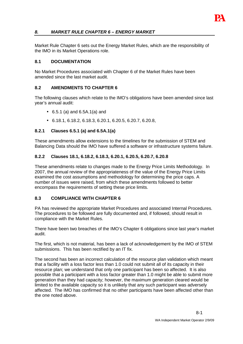

# **8. MARKET RULE CHAPTER 6 – ENERGY MARKET**

Market Rule Chapter 6 sets out the Energy Market Rules, which are the responsibility of the IMO in its Market Operations role.

#### **8.1 DOCUMENTATION**

No Market Procedures associated with Chapter 6 of the Market Rules have been amended since the last market audit.

#### **8.2 AMENDMENTS TO CHAPTER 6**

The following clauses which relate to the IMO's obligations have been amended since last year's annual audit:

- 6.5.1 (a) and 6.5A.1(a) and
- 6.18.1, 6.18.2, 6.18.3, 6.20.1, 6.20.5, 6.20.7, 6.20.8,

#### **8.2.1 Clauses 6.5.1 (a) and 6.5A.1(a)**

These amendments allow extensions to the timelines for the submission of STEM and Balancing Data should the IMO have suffered a software or infrastructure systems failure.

#### **8.2.2 Clauses 18.1, 6.18.2, 6.18.3, 6.20.1, 6.20.5, 6.20.7, 6.20.8**

These amendments relate to changes made to the Energy Price Limits Methodology. In 2007, the annual review of the appropriateness of the value of the Energy Price Limits examined the cost assumptions and methodology for determining the price caps. A number of issues were raised, from which these amendments followed to better encompass the requirements of setting these price limits.

#### **8.3 COMPLIANCE WITH CHAPTER 6**

PA has reviewed the appropriate Market Procedures and associated Internal Procedures. The procedures to be followed are fully documented and, if followed, should result in compliance with the Market Rules.

There have been two breaches of the IMO's Chapter 6 obligations since last year's market audit.

The first, which is not material, has been a lack of acknowledgement by the IMO of STEM submissions. This has been rectified by an IT fix.

The second has been an incorrect calculation of the resource plan validation which meant that a facility with a loss factor less than 1.0 could not submit all of its capacity in their resource plan; we understand that only one participant has been so affected. It is also possible that a participant with a loss factor greater than 1.0 might be able to submit more generation than they had capacity; however, the maximum generation cleared would be limited to the available capacity so it is unlikely that any such participant was adversely affected. The IMO has confirmed that no other participants have been affected other than the one noted above.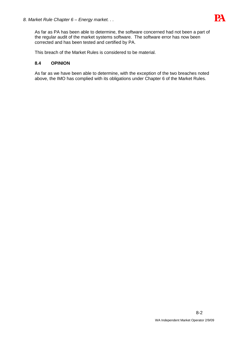

As far as PA has been able to determine, the software concerned had not been a part of the regular audit of the market systems software. The software error has now been corrected and has been tested and certified by PA.

This breach of the Market Rules is considered to be material.

# **8.4 OPINION**

As far as we have been able to determine, with the exception of the two breaches noted above, the IMO has complied with its obligations under Chapter 6 of the Market Rules.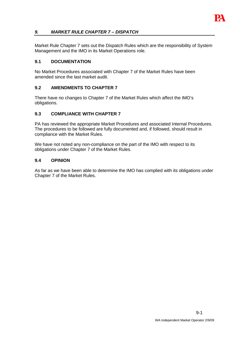

# **9. MARKET RULE CHAPTER 7 – DISPATCH**

Market Rule Chapter 7 sets out the Dispatch Rules which are the responsibility of System Management and the IMO in its Market Operations role.

#### **9.1 DOCUMENTATION**

No Market Procedures associated with Chapter 7 of the Market Rules have been amended since the last market audit.

#### **9.2 AMENDMENTS TO CHAPTER 7**

There have no changes to Chapter 7 of the Market Rules which affect the IMO's obligations.

#### **9.3 COMPLIANCE WITH CHAPTER 7**

PA has reviewed the appropriate Market Procedures and associated Internal Procedures. The procedures to be followed are fully documented and, if followed, should result in compliance with the Market Rules.

We have not noted any non-compliance on the part of the IMO with respect to its obligations under Chapter 7 of the Market Rules.

#### **9.4 OPINION**

As far as we have been able to determine the IMO has complied with its obligations under Chapter 7 of the Market Rules.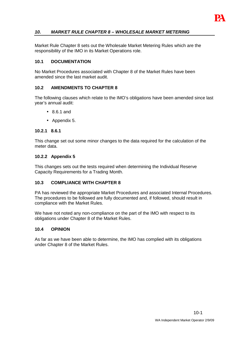

# **10. MARKET RULE CHAPTER 8 – WHOLESALE MARKET METERING**

Market Rule Chapter 8 sets out the Wholesale Market Metering Rules which are the responsibility of the IMO in its Market Operations role.

#### **10.1 DOCUMENTATION**

No Market Procedures associated with Chapter 8 of the Market Rules have been amended since the last market audit.

#### **10.2 AMENDMENTS TO CHAPTER 8**

The following clauses which relate to the IMO's obligations have been amended since last year's annual audit:

- 8.6.1 and
- Appendix 5.

#### **10.2.1 8.6.1**

This change set out some minor changes to the data required for the calculation of the meter data.

#### **10.2.2 Appendix 5**

This changes sets out the tests required when determining the Individual Reserve Capacity Requirements for a Trading Month.

#### **10.3 COMPLIANCE WITH CHAPTER 8**

PA has reviewed the appropriate Market Procedures and associated Internal Procedures. The procedures to be followed are fully documented and, if followed, should result in compliance with the Market Rules.

We have not noted any non-compliance on the part of the IMO with respect to its obligations under Chapter 8 of the Market Rules.

#### **10.4 OPINION**

As far as we have been able to determine, the IMO has complied with its obligations under Chapter 8 of the Market Rules.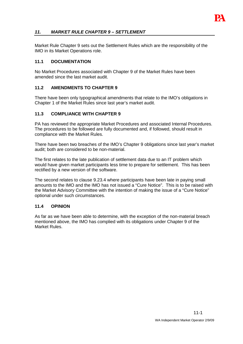

# **11. MARKET RULE CHAPTER 9 – SETTLEMENT**

Market Rule Chapter 9 sets out the Settlement Rules which are the responsibility of the IMO in its Market Operations role.

#### **11.1 DOCUMENTATION**

No Market Procedures associated with Chapter 9 of the Market Rules have been amended since the last market audit.

#### **11.2 AMENDMENTS TO CHAPTER 9**

There have been only typographical amendments that relate to the IMO's obligations in Chapter 1 of the Market Rules since last year's market audit.

#### **11.3 COMPLIANCE WITH CHAPTER 9**

PA has reviewed the appropriate Market Procedures and associated Internal Procedures. The procedures to be followed are fully documented and, if followed, should result in compliance with the Market Rules.

There have been two breaches of the IMO's Chapter 9 obligations since last year's market audit; both are considered to be non-material.

The first relates to the late publication of settlement data due to an IT problem which would have given market participants less time to prepare for settlement. This has been rectified by a new version of the software.

The second relates to clause 9.23.4 where participants have been late in paying small amounts to the IMO and the IMO has not issued a "Cure Notice". This is to be raised with the Market Advisory Committee with the intention of making the issue of a "Cure Notice" optional under such circumstances.

#### **11.4 OPINION**

As far as we have been able to determine, with the exception of the non-material breach mentioned above, the IMO has complied with its obligations under Chapter 9 of the Market Rules.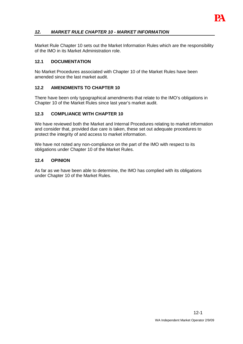

# **12. MARKET RULE CHAPTER 10 - MARKET INFORMATION**

Market Rule Chapter 10 sets out the Market Information Rules which are the responsibility of the IMO in its Market Administration role.

#### **12.1 DOCUMENTATION**

No Market Procedures associated with Chapter 10 of the Market Rules have been amended since the last market audit.

#### **12.2 AMENDMENTS TO CHAPTER 10**

There have been only typographical amendments that relate to the IMO's obligations in Chapter 10 of the Market Rules since last year's market audit.

#### **12.3 COMPLIANCE WITH CHAPTER 10**

We have reviewed both the Market and Internal Procedures relating to market information and consider that, provided due care is taken, these set out adequate procedures to protect the integrity of and access to market information.

We have not noted any non-compliance on the part of the IMO with respect to its obligations under Chapter 10 of the Market Rules.

#### **12.4 OPINION**

As far as we have been able to determine, the IMO has complied with its obligations under Chapter 10 of the Market Rules.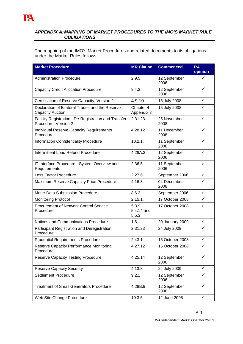#### **APPENDIX A: MAPPING OF MARKET PROCEDURES TO THE IMO'S MARKET RULE OBLIGATIONS**

The mapping of the IMO's Market Procedures and related documents to its obligations under the Market Rules follows.

| <b>Market Procedure</b>                                                     | <b>MR Clause</b>               | <b>Commenced</b>     | PA<br>opinion |
|-----------------------------------------------------------------------------|--------------------------------|----------------------|---------------|
| <b>Administration Procedure</b>                                             | 2.9.5.                         | 12 September<br>2006 | ✓             |
| <b>Capacity Credit Allocation Procedure</b>                                 | 9.4.3                          | 12 September<br>2006 | ✓             |
| Certification of Reserve Capacity, Version 2                                | 4.9.10                         | 15 July 2008         | ✓             |
| Declaration of Bilateral Trades and the Reserve<br><b>Capacity Auction</b>  | Chapter 4<br>Appendix 3        | 15 July 2008         | ✓             |
| Facility Registration, De-Registration and Transfer<br>Procedure, Version 2 | 2.31.23                        | 25 November<br>2008  | $\checkmark$  |
| <b>Individual Reserve Capacity Requirements</b><br>Procedure                | 4.28.12                        | 11 December<br>2008  | ✓             |
| <b>Information Confidentiality Procedure</b>                                | 10.2.1.                        | 11 September<br>2006 | ✓             |
| Intermittent Load Refund Procedure                                          | 4.28A.3                        | 12 September<br>2006 | ✓             |
| IT Interface Procedure - System Overview and<br>Requirements                | 2.36.5                         | 11 September<br>2006 | ✓             |
| Loss Factor Procedure                                                       | 2.27.6.                        | September 2006       | ✓             |
| Maximum Reserve Capacity Price Procedure                                    | 4.16.3.                        | 04 December<br>2008  | ✓             |
| <b>Meter Data Submission Procedure</b>                                      | 8.6.2                          | September 2006       | $\checkmark$  |
| <b>Monitoring Protocol</b>                                                  | 2.15.1.                        | 17 October 2008      | ✓             |
| Procurement of Network Control Service<br>Procedure                         | 5.3.9,<br>5.4.14 and<br>5.5.3. | 17 October 2008      | ✓             |
| Notices and Communications Procedure                                        | 1.6.1.                         | 20 January 2009      | $\checkmark$  |
| Participant Registration and Deregistration<br>Procedure                    | 2.31.23                        | 24 July 2009         | ✓             |
| <b>Prudential Requirements Procedure</b>                                    | 2.43.1                         | 15 October 2008      | ✓             |
| Reserve Capacity Performance Monitoring<br>Procedure                        | 4.27.12                        | 15 October 2008      | ✓             |
| <b>Reserve Capacity Testing Procedure</b>                                   | 4.25.14                        | 12 September<br>2006 | ✓             |
| <b>Reserve Capacity Security</b>                                            | 4.13.8                         | 24 July 2009         | $\checkmark$  |
| <b>Settlement Procedure</b>                                                 | 9.2.1.                         | 12 September<br>2006 | ✓             |
| <b>Treatment of Small Generators Procedure</b>                              | 4.28B.9                        | 12 September<br>2006 | ✓             |
| Web Site Change Procedure                                                   | 10.3.5                         | 12 June 2008         | $\checkmark$  |